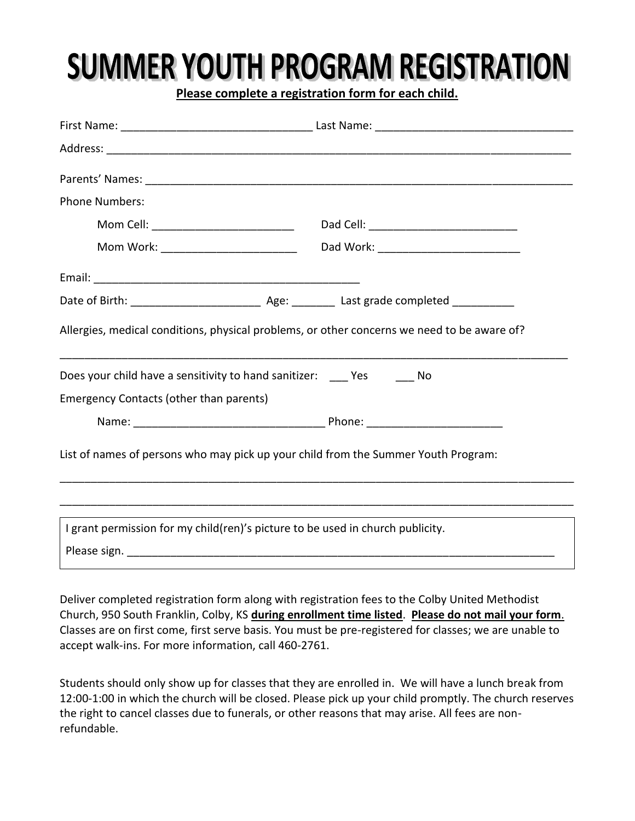## **SUMMER YOUTH PROGRAM REGISTRATION**

**Please complete a registration form for each child.**

| <b>Phone Numbers:</b>                                                                                                                                       |  |  |  |  |  |  |
|-------------------------------------------------------------------------------------------------------------------------------------------------------------|--|--|--|--|--|--|
| Mom Cell: _______________________________                                                                                                                   |  |  |  |  |  |  |
|                                                                                                                                                             |  |  |  |  |  |  |
|                                                                                                                                                             |  |  |  |  |  |  |
|                                                                                                                                                             |  |  |  |  |  |  |
| Allergies, medical conditions, physical problems, or other concerns we need to be aware of?<br>Does your child have a sensitivity to hand sanitizer: Yes No |  |  |  |  |  |  |
| <b>Emergency Contacts (other than parents)</b>                                                                                                              |  |  |  |  |  |  |
|                                                                                                                                                             |  |  |  |  |  |  |
| List of names of persons who may pick up your child from the Summer Youth Program:                                                                          |  |  |  |  |  |  |
| I grant permission for my child(ren)'s picture to be used in church publicity.                                                                              |  |  |  |  |  |  |
|                                                                                                                                                             |  |  |  |  |  |  |

Deliver completed registration form along with registration fees to the Colby United Methodist Church, 950 South Franklin, Colby, KS **during enrollment time listed**. **Please do not mail your form**. Classes are on first come, first serve basis. You must be pre-registered for classes; we are unable to accept walk-ins. For more information, call 460-2761.

Students should only show up for classes that they are enrolled in. We will have a lunch break from 12:00-1:00 in which the church will be closed. Please pick up your child promptly. The church reserves the right to cancel classes due to funerals, or other reasons that may arise. All fees are nonrefundable.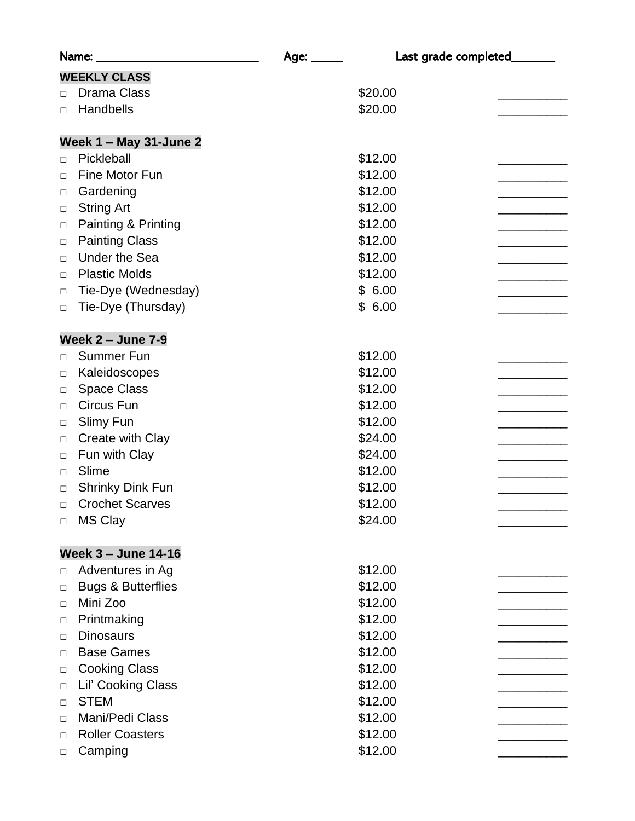|                            | Name:                         | Age: _____ | Last grade completed_ |  |  |  |
|----------------------------|-------------------------------|------------|-----------------------|--|--|--|
|                            | <b>WEEKLY CLASS</b>           |            |                       |  |  |  |
| $\Box$                     | <b>Drama Class</b>            |            | \$20.00               |  |  |  |
| $\Box$                     | Handbells                     |            | \$20.00               |  |  |  |
|                            |                               |            |                       |  |  |  |
|                            | Week 1 - May 31-June 2        |            |                       |  |  |  |
| $\Box$                     | Pickleball                    |            | \$12.00               |  |  |  |
| $\Box$                     | Fine Motor Fun                |            | \$12.00               |  |  |  |
| $\Box$                     | Gardening                     |            | \$12.00               |  |  |  |
| $\Box$                     | <b>String Art</b>             |            | \$12.00               |  |  |  |
| $\Box$                     | Painting & Printing           |            | \$12.00               |  |  |  |
| $\Box$                     | <b>Painting Class</b>         |            | \$12.00               |  |  |  |
| $\Box$                     | <b>Under the Sea</b>          |            | \$12.00               |  |  |  |
| $\Box$                     | <b>Plastic Molds</b>          |            | \$12.00               |  |  |  |
| $\Box$                     | Tie-Dye (Wednesday)           |            | \$6.00                |  |  |  |
| $\Box$                     | Tie-Dye (Thursday)            |            | \$6.00                |  |  |  |
|                            | <b>Week 2 - June 7-9</b>      |            |                       |  |  |  |
| $\Box$                     | <b>Summer Fun</b>             |            | \$12.00               |  |  |  |
| $\Box$                     | Kaleidoscopes                 |            | \$12.00               |  |  |  |
| $\Box$                     | <b>Space Class</b>            |            | \$12.00               |  |  |  |
| $\Box$                     | Circus Fun                    |            | \$12.00               |  |  |  |
| □                          | Slimy Fun                     |            | \$12.00               |  |  |  |
| $\Box$                     | Create with Clay              |            | \$24.00               |  |  |  |
| $\Box$                     | Fun with Clay                 |            | \$24.00               |  |  |  |
| $\Box$                     | Slime                         |            | \$12.00               |  |  |  |
| $\Box$                     | <b>Shrinky Dink Fun</b>       |            | \$12.00               |  |  |  |
| $\Box$                     | <b>Crochet Scarves</b>        |            | \$12.00               |  |  |  |
| □                          | <b>MS Clay</b>                |            | \$24.00               |  |  |  |
|                            |                               |            |                       |  |  |  |
| <b>Week 3 - June 14-16</b> |                               |            |                       |  |  |  |
| $\Box$                     | Adventures in Ag              |            | \$12.00               |  |  |  |
| $\Box$                     | <b>Bugs &amp; Butterflies</b> |            | \$12.00               |  |  |  |
| □                          | Mini Zoo                      |            | \$12.00               |  |  |  |
| $\Box$                     | Printmaking                   |            | \$12.00               |  |  |  |
| □                          | <b>Dinosaurs</b>              |            | \$12.00               |  |  |  |
| $\Box$                     | <b>Base Games</b>             |            | \$12.00               |  |  |  |
| $\Box$                     | <b>Cooking Class</b>          |            | \$12.00               |  |  |  |
| □                          | Lil' Cooking Class            |            | \$12.00               |  |  |  |
| $\Box$                     | <b>STEM</b>                   |            | \$12.00               |  |  |  |
| □                          | Mani/Pedi Class               |            | \$12.00               |  |  |  |
| $\Box$                     | <b>Roller Coasters</b>        |            | \$12.00               |  |  |  |
| □                          | Camping                       |            | \$12.00               |  |  |  |
|                            |                               |            |                       |  |  |  |